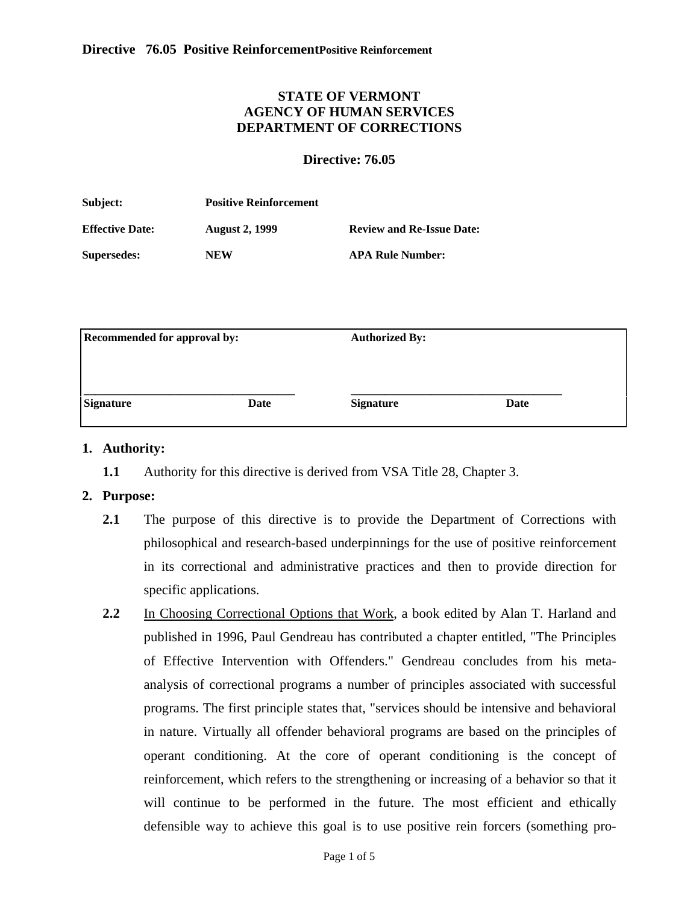# **STATE OF VERMONT AGENCY OF HUMAN SERVICES DEPARTMENT OF CORRECTIONS**

### <span id="page-0-0"></span>**Directive: 76.05**

| Subject:               | <b>Positive Reinforcement</b> |                                  |  |
|------------------------|-------------------------------|----------------------------------|--|
| <b>Effective Date:</b> | <b>August 2, 1999</b>         | <b>Review and Re-Issue Date:</b> |  |
| <b>Supersedes:</b>     | NEW                           | <b>APA Rule Number:</b>          |  |

| <b>Recommended for approval by:</b> |      | <b>Authorized By:</b> |      |  |
|-------------------------------------|------|-----------------------|------|--|
|                                     |      |                       |      |  |
| <b>Signature</b>                    | Date | <b>Signature</b>      | Date |  |

### **1. Authority:**

**1.1** Authority for this directive is derived from VSA Title 28, Chapter 3.

### **2. Purpose:**

- **2.1** The purpose of this directive is to provide the Department of Corrections with philosophical and research-based underpinnings for the use of positive reinforcement in its correctional and administrative practices and then to provide direction for specific applications.
- **2.2** In Choosing Correctional Options that Work, a book edited by Alan T. Harland and published in 1996, Paul Gendreau has contributed a chapter entitled, "The Principles of Effective Intervention with Offenders." Gendreau concludes from his metaanalysis of correctional programs a number of principles associated with successful programs. The first principle states that, "services should be intensive and behavioral in nature. Virtually all offender behavioral programs are based on the principles of operant conditioning. At the core of operant conditioning is the concept of reinforcement, which refers to the strengthening or increasing of a behavior so that it will continue to be performed in the future. The most efficient and ethically defensible way to achieve this goal is to use positive rein forcers (something pro-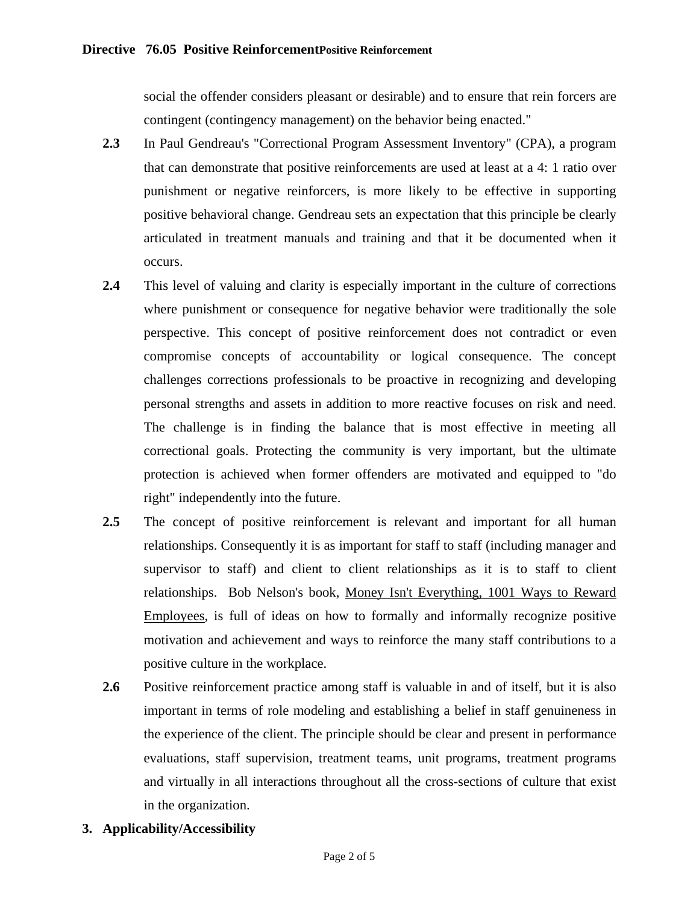social the offender considers pleasant or desirable) and to ensure that rein forcers are contingent (contingency management) on the behavior being enacted."

- **2.3** In Paul Gendreau's "Correctional Program Assessment Inventory" (CPA), a program that can demonstrate that positive reinforcements are used at least at a 4: 1 ratio over punishment or negative reinforcers, is more likely to be effective in supporting positive behavioral change. Gendreau sets an expectation that this principle be clearly articulated in treatment manuals and training and that it be documented when it occurs.
- **2.4** This level of valuing and clarity is especially important in the culture of corrections where punishment or consequence for negative behavior were traditionally the sole perspective. This concept of positive reinforcement does not contradict or even compromise concepts of accountability or logical consequence. The concept challenges corrections professionals to be proactive in recognizing and developing personal strengths and assets in addition to more reactive focuses on risk and need. The challenge is in finding the balance that is most effective in meeting all correctional goals. Protecting the community is very important, but the ultimate protection is achieved when former offenders are motivated and equipped to "do right" independently into the future.
- **2.5** The concept of positive reinforcement is relevant and important for all human relationships. Consequently it is as important for staff to staff (including manager and supervisor to staff) and client to client relationships as it is to staff to client relationships. Bob Nelson's book, Money Isn't Everything, 1001 Ways to Reward Employees, is full of ideas on how to formally and informally recognize positive motivation and achievement and ways to reinforce the many staff contributions to a positive culture in the workplace.
- **2.6** Positive reinforcement practice among staff is valuable in and of itself, but it is also important in terms of role modeling and establishing a belief in staff genuineness in the experience of the client. The principle should be clear and present in performance evaluations, staff supervision, treatment teams, unit programs, treatment programs and virtually in all interactions throughout all the cross-sections of culture that exist in the organization.
- **3. Applicability/Accessibility**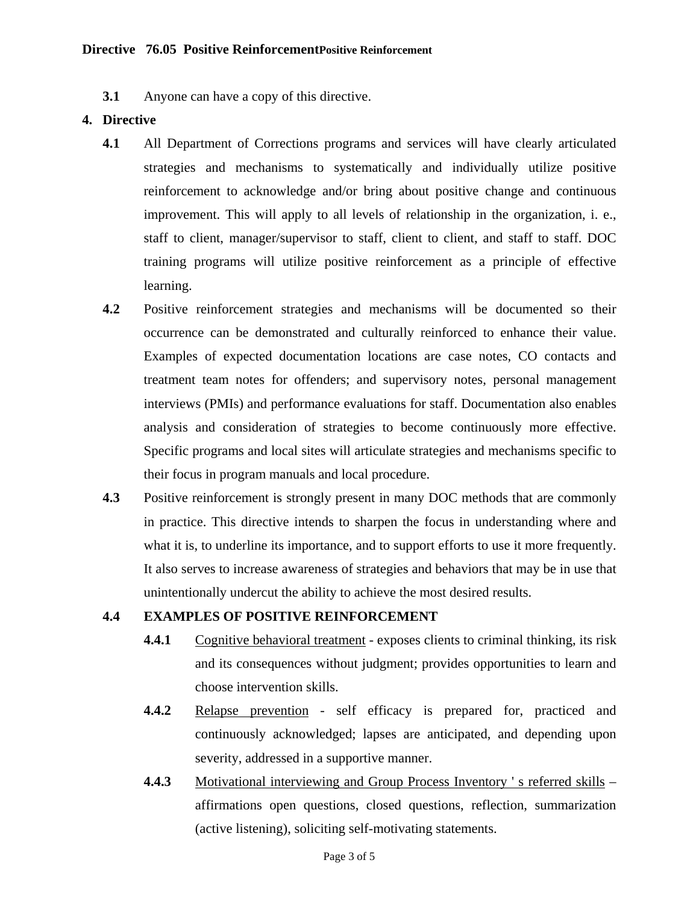**3.1** Anyone can have a copy of this directive.

### **4. [Directive](#page-0-0)**

- **4.1** All Department of Corrections programs and services will have clearly articulated strategies and mechanisms to systematically and individually utilize positive reinforcement to acknowledge and/or bring about positive change and continuous improvement. This will apply to all levels of relationship in the organization, i. e., staff to client, manager/supervisor to staff, client to client, and staff to staff. DOC training programs will utilize positive reinforcement as a principle of effective learning.
- **4.2** Positive reinforcement strategies and mechanisms will be documented so their occurrence can be demonstrated and culturally reinforced to enhance their value. Examples of expected documentation locations are case notes, CO contacts and treatment team notes for offenders; and supervisory notes, personal management interviews (PMIs) and performance evaluations for staff. Documentation also enables analysis and consideration of strategies to become continuously more effective. Specific programs and local sites will articulate strategies and mechanisms specific to their focus in program manuals and local procedure.
- **4.3** Positive reinforcement is strongly present in many DOC methods that are commonly in practice. This directive intends to sharpen the focus in understanding where and what it is, to underline its importance, and to support efforts to use it more frequently. It also serves to increase awareness of strategies and behaviors that may be in use that unintentionally undercut the ability to achieve the most desired results.

### **4.4 EXAMPLES OF POSITIVE REINFORCEMENT**

- **4.4.1** Cognitive behavioral treatment exposes clients to criminal thinking, its risk and its consequences without judgment; provides opportunities to learn and choose intervention skills.
- **4.4.2** Relapse prevention self efficacy is prepared for, practiced and continuously acknowledged; lapses are anticipated, and depending upon severity, addressed in a supportive manner.
- **4.4.3** Motivational interviewing and Group Process Inventory 's referred skills affirmations open questions, closed questions, reflection, summarization (active listening), soliciting self-motivating statements.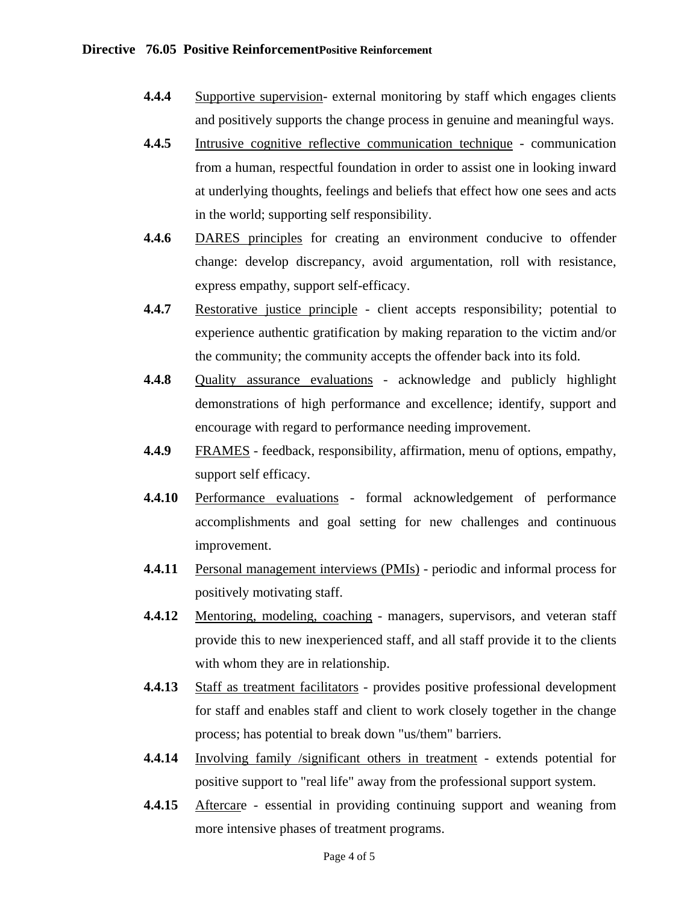- **4.4.4** Supportive supervision- external monitoring by staff which engages clients and positively supports the change process in genuine and meaningful ways.
- **4.4.5** Intrusive cognitive reflective communication technique communication from a human, respectful foundation in order to assist one in looking inward at underlying thoughts, feelings and beliefs that effect how one sees and acts in the world; supporting self responsibility.
- **4.4.6** DARES principles for creating an environment conducive to offender change: develop discrepancy, avoid argumentation, roll with resistance, express empathy, support self-efficacy.
- **4.4.7** Restorative justice principle client accepts responsibility; potential to experience authentic gratification by making reparation to the victim and/or the community; the community accepts the offender back into its fold.
- **4.4.8** Quality assurance evaluations acknowledge and publicly highlight demonstrations of high performance and excellence; identify, support and encourage with regard to performance needing improvement.
- **4.4.9** FRAMES feedback, responsibility, affirmation, menu of options, empathy, support self efficacy.
- **4.4.10** Performance evaluations formal acknowledgement of performance accomplishments and goal setting for new challenges and continuous improvement.
- **4.4.11** Personal management interviews (PMIs) periodic and informal process for positively motivating staff.
- **4.4.12** Mentoring, modeling, coaching managers, supervisors, and veteran staff provide this to new inexperienced staff, and all staff provide it to the clients with whom they are in relationship.
- **4.4.13** Staff as treatment facilitators provides positive professional development for staff and enables staff and client to work closely together in the change process; has potential to break down "us/them" barriers.
- **4.4.14** Involving family /significant others in treatment extends potential for positive support to "real life" away from the professional support system.
- **4.4.15** Aftercare essential in providing continuing support and weaning from more intensive phases of treatment programs.